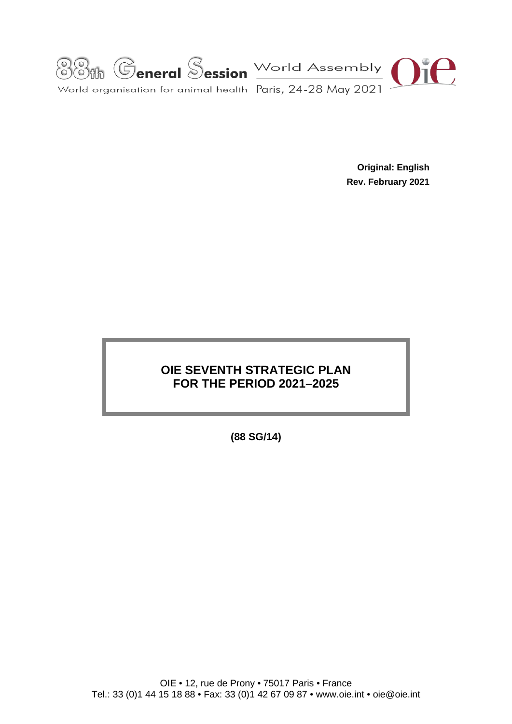

**Original: English Rev. February 2021**

# **OIE SEVENTH STRATEGIC PLAN FOR THE PERIOD 2021–2025**

**(88 SG/14)**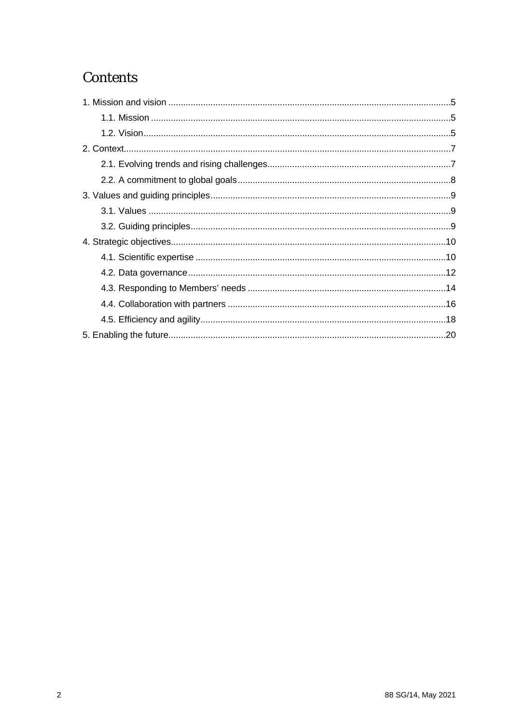# **Contents**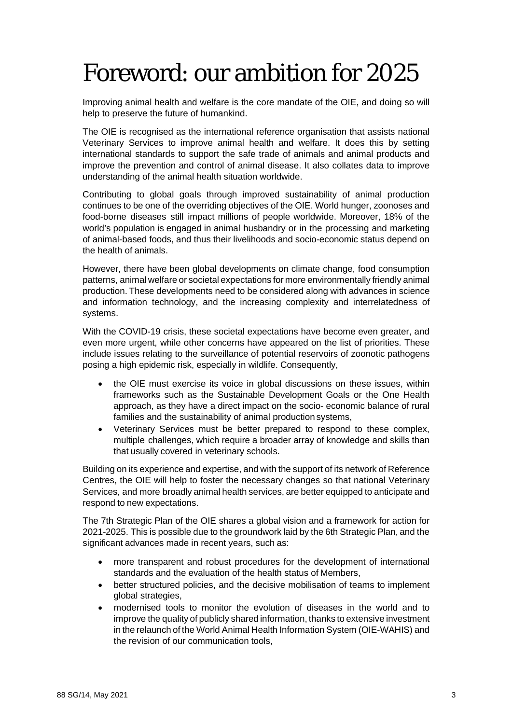# Foreword: our ambition for 2025

Improving animal health and welfare is the core mandate of the OIE, and doing so will help to preserve the future of humankind.

The OIE is recognised as the international reference organisation that assists national Veterinary Services to improve animal health and welfare. It does this by setting international standards to support the safe trade of animals and animal products and improve the prevention and control of animal disease. It also collates data to improve understanding of the animal health situation worldwide.

Contributing to global goals through improved sustainability of animal production continues to be one of the overriding objectives of the OIE. World hunger, zoonoses and food-borne diseases still impact millions of people worldwide. Moreover, 18% of the world's population is engaged in animal husbandry or in the processing and marketing of animal-based foods, and thus their livelihoods and socio-economic status depend on the health of animals.

However, there have been global developments on climate change, food consumption patterns, animal welfare or societal expectations for more environmentally friendly animal production. These developments need to be considered along with advances in science and information technology, and the increasing complexity and interrelatedness of systems.

With the COVID-19 crisis, these societal expectations have become even greater, and even more urgent, while other concerns have appeared on the list of priorities. These include issues relating to the surveillance of potential reservoirs of zoonotic pathogens posing a high epidemic risk, especially in wildlife. Consequently,

- the OIE must exercise its voice in global discussions on these issues, within frameworks such as the Sustainable Development Goals or the One Health approach, as they have a direct impact on the socio- economic balance of rural families and the sustainability of animal production systems,
- Veterinary Services must be better prepared to respond to these complex, multiple challenges, which require a broader array of knowledge and skills than that usually covered in veterinary schools.

Building on its experience and expertise, and with the support of its network of Reference Centres, the OIE will help to foster the necessary changes so that national Veterinary Services, and more broadly animal health services, are better equipped to anticipate and respond to new expectations.

The 7th Strategic Plan of the OIE shares a global vision and a framework for action for 2021-2025. This is possible due to the groundwork laid by the 6th Strategic Plan, and the significant advances made in recent years, such as:

- more transparent and robust procedures for the development of international standards and the evaluation of the health status of Members,
- better structured policies, and the decisive mobilisation of teams to implement global strategies,
- modernised tools to monitor the evolution of diseases in the world and to improve the quality of publicly shared information, thanks to extensive investment in the relaunch of the World Animal Health Information System (OIE-WAHIS) and the revision of our communication tools,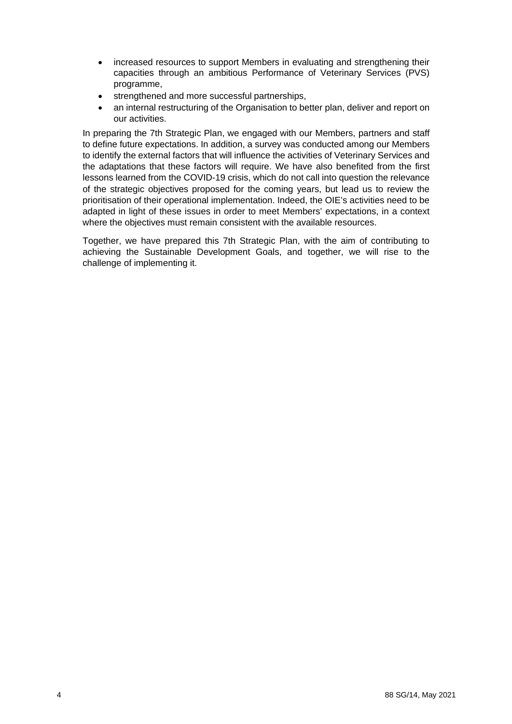- increased resources to support Members in evaluating and strengthening their capacities through an ambitious Performance of Veterinary Services (PVS) programme,
- strengthened and more successful partnerships,
- an internal restructuring of the Organisation to better plan, deliver and report on our activities.

In preparing the 7th Strategic Plan, we engaged with our Members, partners and staff to define future expectations. In addition, a survey was conducted among our Members to identify the external factors that will influence the activities of Veterinary Services and the adaptations that these factors will require. We have also benefited from the first lessons learned from the COVID-19 crisis, which do not call into question the relevance of the strategic objectives proposed for the coming years, but lead us to review the prioritisation of their operational implementation. Indeed, the OIE's activities need to be adapted in light of these issues in order to meet Members' expectations, in a context where the objectives must remain consistent with the available resources.

Together, we have prepared this 7th Strategic Plan, with the aim of contributing to achieving the Sustainable Development Goals, and together, we will rise to the challenge of implementing it.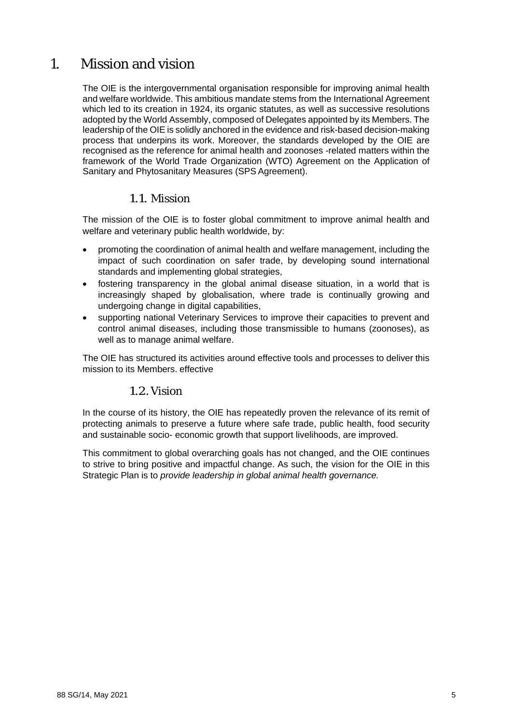# <span id="page-4-0"></span>1. Mission and vision

The OIE is the intergovernmental organisation responsible for improving animal health and welfare worldwide. This ambitious mandate stems from the International Agreement which led to its creation in 1924, its organic statutes, as well as successive resolutions adopted by the World Assembly, composed of Delegates appointed by its Members. The leadership of the OIE is solidly anchored in the evidence and risk-based decision-making process that underpins its work. Moreover, the standards developed by the OIE are recognised as the reference for animal health and zoonoses -related matters within the framework of the World Trade Organization (WTO) Agreement on the Application of Sanitary and Phytosanitary Measures (SPS Agreement).

## <span id="page-4-1"></span>1.1. Mission

The mission of the OIE is to foster global commitment to improve animal health and welfare and veterinary public health worldwide, by:

- promoting the coordination of animal health and welfare management, including the impact of such coordination on safer trade, by developing sound international standards and implementing global strategies,
- fostering transparency in the global animal disease situation, in a world that is increasingly shaped by globalisation, where trade is continually growing and undergoing change in digital capabilities,
- supporting national Veterinary Services to improve their capacities to prevent and control animal diseases, including those transmissible to humans (zoonoses), as well as to manage animal welfare.

The OIE has structured its activities around effective tools and processes to deliver this mission to its Members. effective

#### 1.2.Vision

<span id="page-4-2"></span>In the course of its history, the OIE has repeatedly proven the relevance of its remit of protecting animals to preserve a future where safe trade, public health, food security and sustainable socio- economic growth that support livelihoods, are improved.

This commitment to global overarching goals has not changed, and the OIE continues to strive to bring positive and impactful change. As such, the vision for the OIE in this Strategic Plan is to *provide leadership in global animal health governance.*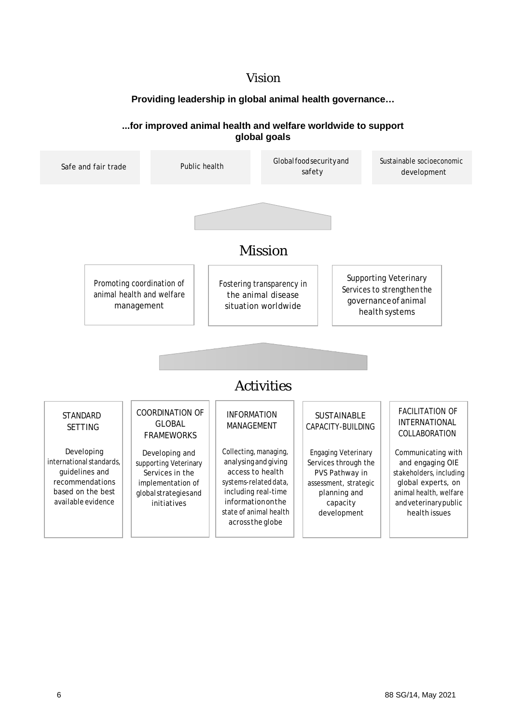# Vision

#### **Providing leadership in global animal health governance…**

#### **...for improved animal health and welfare worldwide to support global goals**

<span id="page-5-0"></span>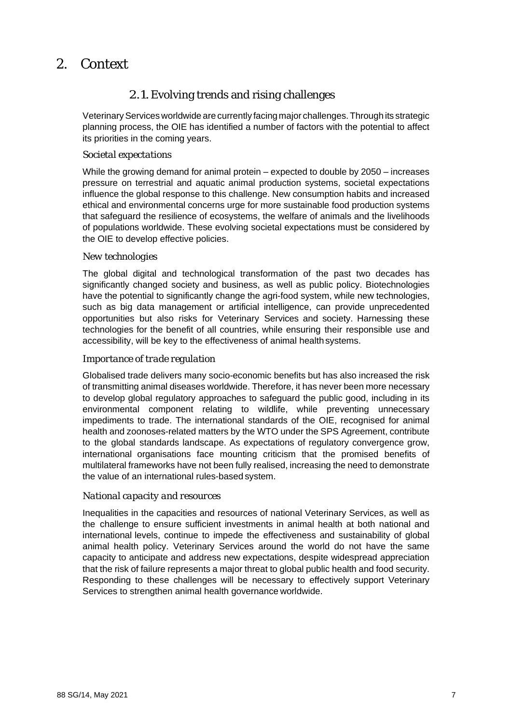# <span id="page-6-0"></span>2. Context

# 2.1.Evolving trends and rising challenges

Veterinary Services worldwide are currently facing major challenges. Through its strategic planning process, the OIE has identified a number of factors with the potential to affect its priorities in the coming years.

#### *Societal expectations*

While the growing demand for animal protein – expected to double by 2050 – increases pressure on terrestrial and aquatic animal production systems, societal expectations influence the global response to this challenge. New consumption habits and increased ethical and environmental concerns urge for more sustainable food production systems that safeguard the resilience of ecosystems, the welfare of animals and the livelihoods of populations worldwide. These evolving societal expectations must be considered by the OIE to develop effective policies.

#### *New technologies*

The global digital and technological transformation of the past two decades has significantly changed society and business, as well as public policy. Biotechnologies have the potential to significantly change the agri-food system, while new technologies, such as big data management or artificial intelligence, can provide unprecedented opportunities but also risks for Veterinary Services and society. Harnessing these technologies for the benefit of all countries, while ensuring their responsible use and accessibility, will be key to the effectiveness of animal health systems.

#### *Importance of trade regulation*

Globalised trade delivers many socio-economic benefits but has also increased the risk of transmitting animal diseases worldwide. Therefore, it has never been more necessary to develop global regulatory approaches to safeguard the public good, including in its environmental component relating to wildlife, while preventing unnecessary impediments to trade. The international standards of the OIE, recognised for animal health and zoonoses-related matters by the WTO under the SPS Agreement, contribute to the global standards landscape. As expectations of regulatory convergence grow, international organisations face mounting criticism that the promised benefits of multilateral frameworks have not been fully realised, increasing the need to demonstrate the value of an international rules-based system.

#### *National capacity and resources*

Inequalities in the capacities and resources of national Veterinary Services, as well as the challenge to ensure sufficient investments in animal health at both national and international levels, continue to impede the effectiveness and sustainability of global animal health policy. Veterinary Services around the world do not have the same capacity to anticipate and address new expectations, despite widespread appreciation that the risk of failure represents a major threat to global public health and food security. Responding to these challenges will be necessary to effectively support Veterinary Services to strengthen animal health governance worldwide.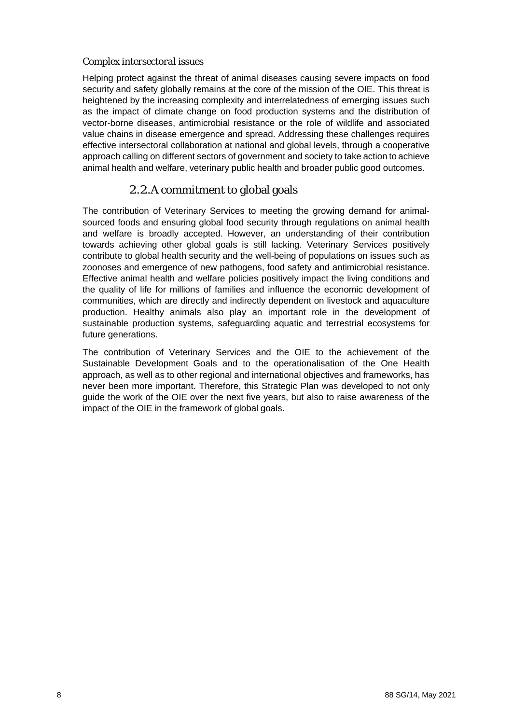#### *Complex intersectoral issues*

Helping protect against the threat of animal diseases causing severe impacts on food security and safety globally remains at the core of the mission of the OIE. This threat is heightened by the increasing complexity and interrelatedness of emerging issues such as the impact of climate change on food production systems and the distribution of vector-borne diseases, antimicrobial resistance or the role of wildlife and associated value chains in disease emergence and spread. Addressing these challenges requires effective intersectoral collaboration at national and global levels, through a cooperative approach calling on different sectors of government and society to take action to achieve animal health and welfare, veterinary public health and broader public good outcomes.

## 2.2.A commitment to global goals

<span id="page-7-0"></span>The contribution of Veterinary Services to meeting the growing demand for animalsourced foods and ensuring global food security through regulations on animal health and welfare is broadly accepted. However, an understanding of their contribution towards achieving other global goals is still lacking. Veterinary Services positively contribute to global health security and the well-being of populations on issues such as zoonoses and emergence of new pathogens, food safety and antimicrobial resistance. Effective animal health and welfare policies positively impact the living conditions and the quality of life for millions of families and influence the economic development of communities, which are directly and indirectly dependent on livestock and aquaculture production. Healthy animals also play an important role in the development of sustainable production systems, safeguarding aquatic and terrestrial ecosystems for future generations.

The contribution of Veterinary Services and the OIE to the achievement of the Sustainable Development Goals and to the operationalisation of the One Health approach, as well as to other regional and international objectives and frameworks, has never been more important. Therefore, this Strategic Plan was developed to not only guide the work of the OIE over the next five years, but also to raise awareness of the impact of the OIE in the framework of global goals.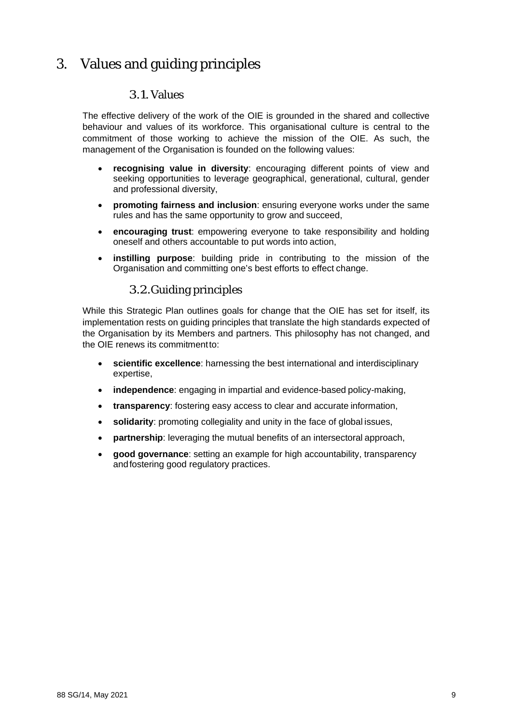# <span id="page-8-1"></span><span id="page-8-0"></span>3. Values and guiding principles

## 3.1.Values

The effective delivery of the work of the OIE is grounded in the shared and collective behaviour and values of its workforce. This organisational culture is central to the commitment of those working to achieve the mission of the OIE. As such, the management of the Organisation is founded on the following values:

- **recognising value in diversity**: encouraging different points of view and seeking opportunities to leverage geographical, generational, cultural, gender and professional diversity,
- **promoting fairness and inclusion**: ensuring everyone works under the same rules and has the same opportunity to grow and succeed,
- **encouraging trust**: empowering everyone to take responsibility and holding oneself and others accountable to put words into action,
- **instilling purpose**: building pride in contributing to the mission of the Organisation and committing one's best efforts to effect change.

## 3.2.Guiding principles

<span id="page-8-2"></span>While this Strategic Plan outlines goals for change that the OIE has set for itself, its implementation rests on guiding principles that translate the high standards expected of the Organisation by its Members and partners. This philosophy has not changed, and the OIE renews its commitmentto:

- **scientific excellence**: harnessing the best international and interdisciplinary expertise,
- **independence**: engaging in impartial and evidence-based policy-making,
- **transparency**: fostering easy access to clear and accurate information,
- **solidarity**: promoting collegiality and unity in the face of global issues,
- **partnership**: leveraging the mutual benefits of an intersectoral approach,
- **good governance**: setting an example for high accountability, transparency andfostering good regulatory practices.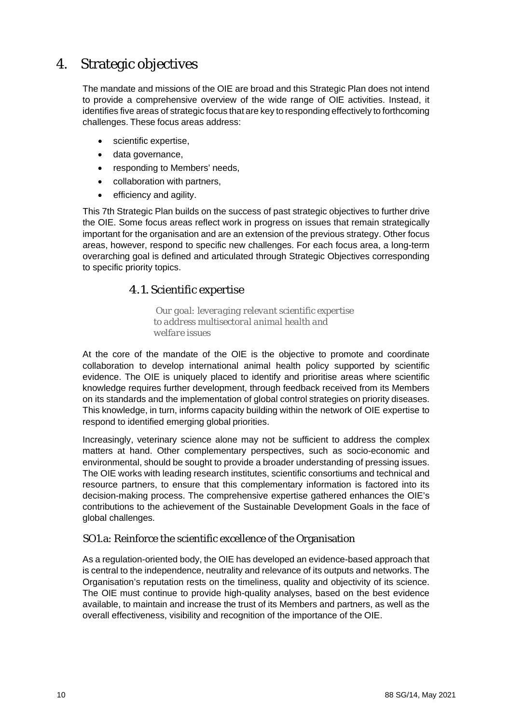# <span id="page-9-0"></span>4. Strategic objectives

The mandate and missions of the OIE are broad and this Strategic Plan does not intend to provide a comprehensive overview of the wide range of OIE activities. Instead, it identifies five areas of strategic focus that are key to responding effectively to forthcoming challenges. These focus areas address:

- scientific expertise,
- data governance,
- responding to Members' needs,
- collaboration with partners,
- efficiency and agility.

This 7th Strategic Plan builds on the success of past strategic objectives to further drive the OIE. Some focus areas reflect work in progress on issues that remain strategically important for the organisation and are an extension of the previous strategy. Other focus areas, however, respond to specific new challenges. For each focus area, a long-term overarching goal is defined and articulated through Strategic Objectives corresponding to specific priority topics.

#### 4.1. Scientific expertise

*Our goal: leveraging relevant scientific expertise to address multisectoral animal health and welfare issues*

<span id="page-9-1"></span>At the core of the mandate of the OIE is the objective to promote and coordinate collaboration to develop international animal health policy supported by scientific evidence. The OIE is uniquely placed to identify and prioritise areas where scientific knowledge requires further development, through feedback received from its Members on its standards and the implementation of global control strategies on priority diseases. This knowledge, in turn, informs capacity building within the network of OIE expertise to respond to identified emerging global priorities.

Increasingly, veterinary science alone may not be sufficient to address the complex matters at hand. Other complementary perspectives, such as socio-economic and environmental, should be sought to provide a broader understanding of pressing issues. The OIE works with leading research institutes, scientific consortiums and technical and resource partners, to ensure that this complementary information is factored into its decision-making process. The comprehensive expertise gathered enhances the OIE's contributions to the achievement of the Sustainable Development Goals in the face of global challenges.

#### SO1.a: Reinforce the scientific excellence of the Organisation

As a regulation-oriented body, the OIE has developed an evidence-based approach that is central to the independence, neutrality and relevance of its outputs and networks. The Organisation's reputation rests on the timeliness, quality and objectivity of its science. The OIE must continue to provide high-quality analyses, based on the best evidence available, to maintain and increase the trust of its Members and partners, as well as the overall effectiveness, visibility and recognition of the importance of the OIE.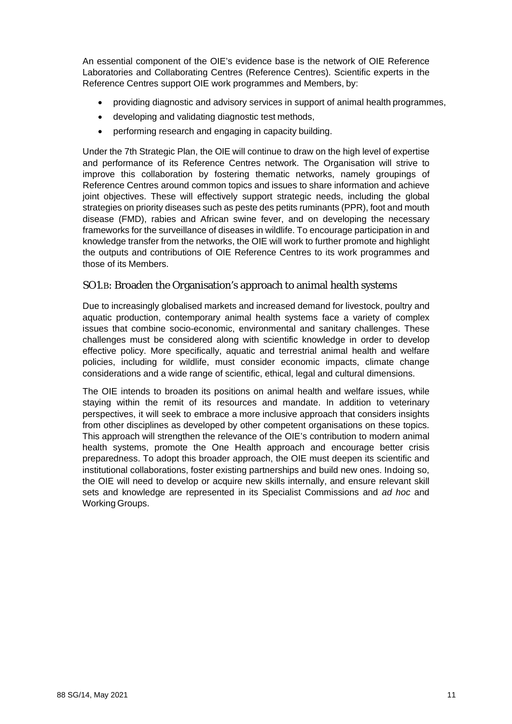An essential component of the OIE's evidence base is the network of OIE Reference Laboratories and Collaborating Centres (Reference Centres). Scientific experts in the Reference Centres support OIE work programmes and Members, by:

- providing diagnostic and advisory services in support of animal health programmes,
- developing and validating diagnostic test methods,
- performing research and engaging in capacity building.

Under the 7th Strategic Plan, the OIE will continue to draw on the high level of expertise and performance of its Reference Centres network. The Organisation will strive to improve this collaboration by fostering thematic networks, namely groupings of Reference Centres around common topics and issues to share information and achieve joint objectives. These will effectively support strategic needs, including the global strategies on priority diseases such as peste des petits ruminants (PPR), foot and mouth disease (FMD), rabies and African swine fever, and on developing the necessary frameworks for the surveillance of diseases in wildlife. To encourage participation in and knowledge transfer from the networks, the OIE will work to further promote and highlight the outputs and contributions of OIE Reference Centres to its work programmes and those of its Members.

#### SO1.B: Broaden the Organisation's approach to animal health systems

Due to increasingly globalised markets and increased demand for livestock, poultry and aquatic production, contemporary animal health systems face a variety of complex issues that combine socio-economic, environmental and sanitary challenges. These challenges must be considered along with scientific knowledge in order to develop effective policy. More specifically, aquatic and terrestrial animal health and welfare policies, including for wildlife, must consider economic impacts, climate change considerations and a wide range of scientific, ethical, legal and cultural dimensions.

The OIE intends to broaden its positions on animal health and welfare issues, while staying within the remit of its resources and mandate. In addition to veterinary perspectives, it will seek to embrace a more inclusive approach that considers insights from other disciplines as developed by other competent organisations on these topics. This approach will strengthen the relevance of the OIE's contribution to modern animal health systems, promote the One Health approach and encourage better crisis preparedness. To adopt this broader approach, the OIE must deepen its scientific and institutional collaborations, foster existing partnerships and build new ones. Indoing so, the OIE will need to develop or acquire new skills internally, and ensure relevant skill sets and knowledge are represented in its Specialist Commissions and *ad hoc* and Working Groups.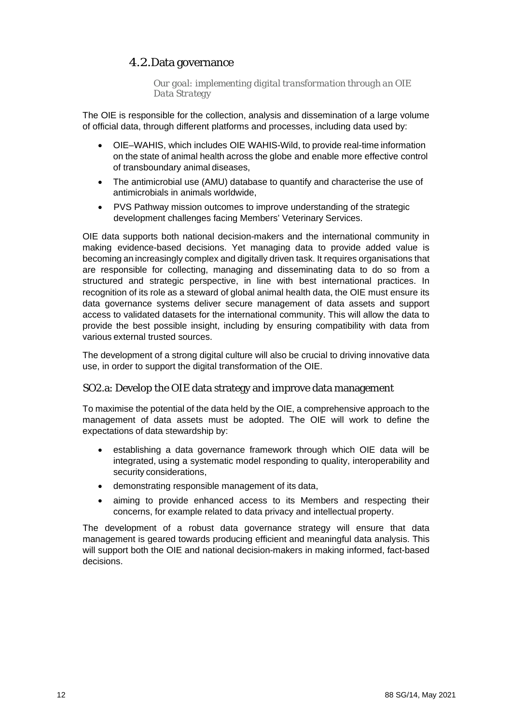## 4.2.Data governance

*Our goal: implementing digital transformation through an OIE Data Strategy*

<span id="page-11-0"></span>The OIE is responsible for the collection, analysis and dissemination of a large volume of official data, through different platforms and processes, including data used by:

- OIE–WAHIS, which includes OIE WAHIS-Wild, to provide real-time information on the state of animal health across the globe and enable more effective control of transboundary animal diseases,
- The antimicrobial use (AMU) database to quantify and characterise the use of antimicrobials in animals worldwide,
- PVS Pathway mission outcomes to improve understanding of the strategic development challenges facing Members' Veterinary Services.

OIE data supports both national decision-makers and the international community in making evidence-based decisions. Yet managing data to provide added value is becoming an increasingly complex and digitally driven task. It requires organisations that are responsible for collecting, managing and disseminating data to do so from a structured and strategic perspective, in line with best international practices. In recognition of its role as a steward of global animal health data, the OIE must ensure its data governance systems deliver secure management of data assets and support access to validated datasets for the international community. This will allow the data to provide the best possible insight, including by ensuring compatibility with data from various external trusted sources.

The development of a strong digital culture will also be crucial to driving innovative data use, in order to support the digital transformation of the OIE.

#### SO2.a: Develop the OIE data strategy and improve data management

To maximise the potential of the data held by the OIE, a comprehensive approach to the management of data assets must be adopted. The OIE will work to define the expectations of data stewardship by:

- establishing a data governance framework through which OIE data will be integrated, using a systematic model responding to quality, interoperability and security considerations,
- demonstrating responsible management of its data,
- aiming to provide enhanced access to its Members and respecting their concerns, for example related to data privacy and intellectual property.

The development of a robust data governance strategy will ensure that data management is geared towards producing efficient and meaningful data analysis. This will support both the OIE and national decision-makers in making informed, fact-based decisions.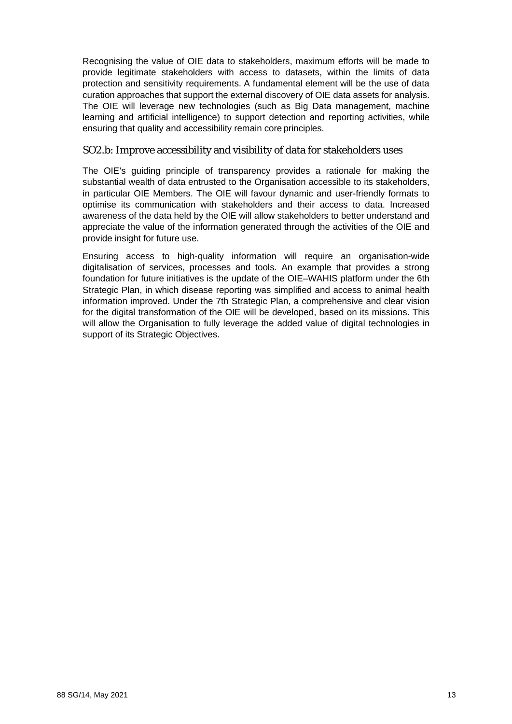Recognising the value of OIE data to stakeholders, maximum efforts will be made to provide legitimate stakeholders with access to datasets, within the limits of data protection and sensitivity requirements. A fundamental element will be the use of data curation approaches that support the external discovery of OIE data assets for analysis. The OIE will leverage new technologies (such as Big Data management, machine learning and artificial intelligence) to support detection and reporting activities, while ensuring that quality and accessibility remain core principles.

#### SO2.b: Improve accessibility and visibility of data for stakeholders uses

The OIE's guiding principle of transparency provides a rationale for making the substantial wealth of data entrusted to the Organisation accessible to its stakeholders, in particular OIE Members. The OIE will favour dynamic and user-friendly formats to optimise its communication with stakeholders and their access to data. Increased awareness of the data held by the OIE will allow stakeholders to better understand and appreciate the value of the information generated through the activities of the OIE and provide insight for future use.

Ensuring access to high-quality information will require an organisation-wide digitalisation of services, processes and tools. An example that provides a strong foundation for future initiatives is the update of the OIE–WAHIS platform under the 6th Strategic Plan, in which disease reporting was simplified and access to animal health information improved. Under the 7th Strategic Plan, a comprehensive and clear vision for the digital transformation of the OIE will be developed, based on its missions. This will allow the Organisation to fully leverage the added value of digital technologies in support of its Strategic Objectives.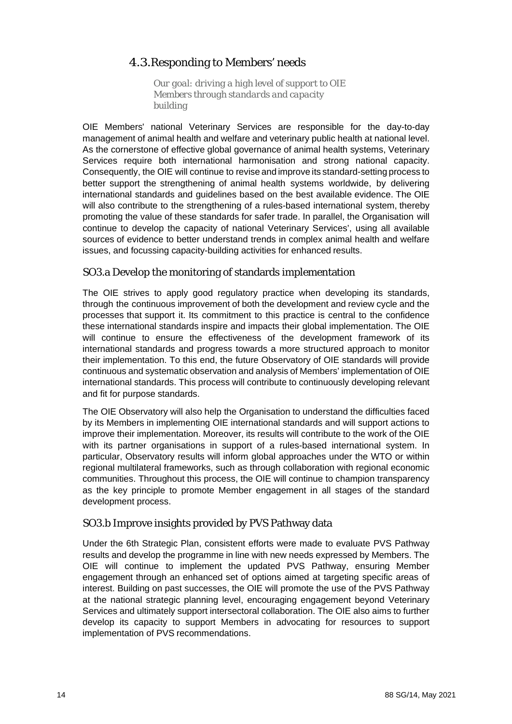# 4.3.Responding to Members' needs

*Our goal: driving a high level of support to OIE Members through standards and capacity building*

<span id="page-13-0"></span>OIE Members' national Veterinary Services are responsible for the day-to-day management of animal health and welfare and veterinary public health at national level. As the cornerstone of effective global governance of animal health systems, Veterinary Services require both international harmonisation and strong national capacity. Consequently, the OIE will continue to revise and improve its standard-setting process to better support the strengthening of animal health systems worldwide, by delivering international standards and guidelines based on the best available evidence. The OIE will also contribute to the strengthening of a rules-based international system, thereby promoting the value of these standards for safer trade. In parallel, the Organisation will continue to develop the capacity of national Veterinary Services', using all available sources of evidence to better understand trends in complex animal health and welfare issues, and focussing capacity-building activities for enhanced results.

#### SO3.a Develop the monitoring of standards implementation

The OIE strives to apply good regulatory practice when developing its standards, through the continuous improvement of both the development and review cycle and the processes that support it. Its commitment to this practice is central to the confidence these international standards inspire and impacts their global implementation. The OIE will continue to ensure the effectiveness of the development framework of its international standards and progress towards a more structured approach to monitor their implementation. To this end, the future Observatory of OIE standards will provide continuous and systematic observation and analysis of Members' implementation of OIE international standards. This process will contribute to continuously developing relevant and fit for purpose standards.

The OIE Observatory will also help the Organisation to understand the difficulties faced by its Members in implementing OIE international standards and will support actions to improve their implementation. Moreover, its results will contribute to the work of the OIE with its partner organisations in support of a rules-based international system. In particular, Observatory results will inform global approaches under the WTO or within regional multilateral frameworks, such as through collaboration with regional economic communities. Throughout this process, the OIE will continue to champion transparency as the key principle to promote Member engagement in all stages of the standard development process.

#### SO3.b Improve insights provided by PVS Pathway data

Under the 6th Strategic Plan, consistent efforts were made to evaluate PVS Pathway results and develop the programme in line with new needs expressed by Members. The OIE will continue to implement the updated PVS Pathway, ensuring Member engagement through an enhanced set of options aimed at targeting specific areas of interest. Building on past successes, the OIE will promote the use of the PVS Pathway at the national strategic planning level, encouraging engagement beyond Veterinary Services and ultimately support intersectoral collaboration. The OIE also aims to further develop its capacity to support Members in advocating for resources to support implementation of PVS recommendations.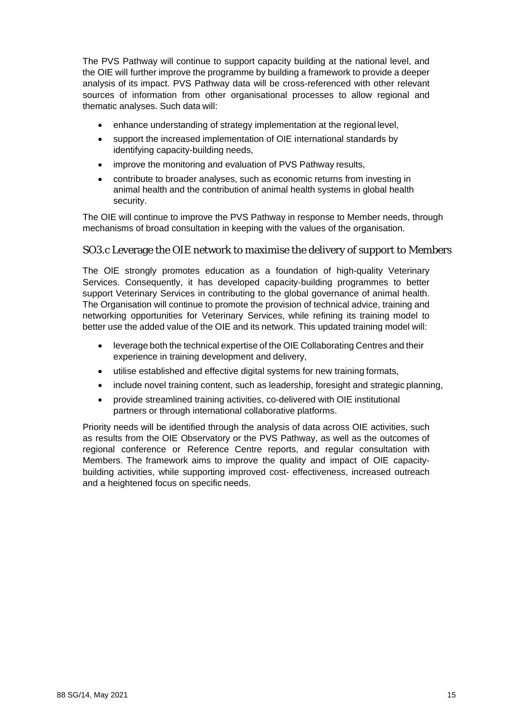The PVS Pathway will continue to support capacity building at the national level, and the OIE will further improve the programme by building a framework to provide a deeper analysis of its impact. PVS Pathway data will be cross-referenced with other relevant sources of information from other organisational processes to allow regional and thematic analyses. Such data will:

- enhance understanding of strategy implementation at the regional level,
- support the increased implementation of OIE international standards by identifying capacity-building needs,
- improve the monitoring and evaluation of PVS Pathway results,
- contribute to broader analyses, such as economic returns from investing in animal health and the contribution of animal health systems in global health security.

The OIE will continue to improve the PVS Pathway in response to Member needs, through mechanisms of broad consultation in keeping with the values of the organisation.

#### SO3.c Leverage the OIE network to maximise the delivery of support to Members

The OIE strongly promotes education as a foundation of high-quality Veterinary Services. Consequently, it has developed capacity-building programmes to better support Veterinary Services in contributing to the global governance of animal health. The Organisation will continue to promote the provision of technical advice, training and networking opportunities for Veterinary Services, while refining its training model to better use the added value of the OIE and its network. This updated training model will:

- leverage both the technical expertise of the OIE Collaborating Centres and their experience in training development and delivery,
- utilise established and effective digital systems for new training formats,
- include novel training content, such as leadership, foresight and strategic planning,
- provide streamlined training activities, co-delivered with OIE institutional partners or through international collaborative platforms.

Priority needs will be identified through the analysis of data across OIE activities, such as results from the OIE Observatory or the PVS Pathway, as well as the outcomes of regional conference or Reference Centre reports, and regular consultation with Members. The framework aims to improve the quality and impact of OIE capacitybuilding activities, while supporting improved cost- effectiveness, increased outreach and a heightened focus on specific needs.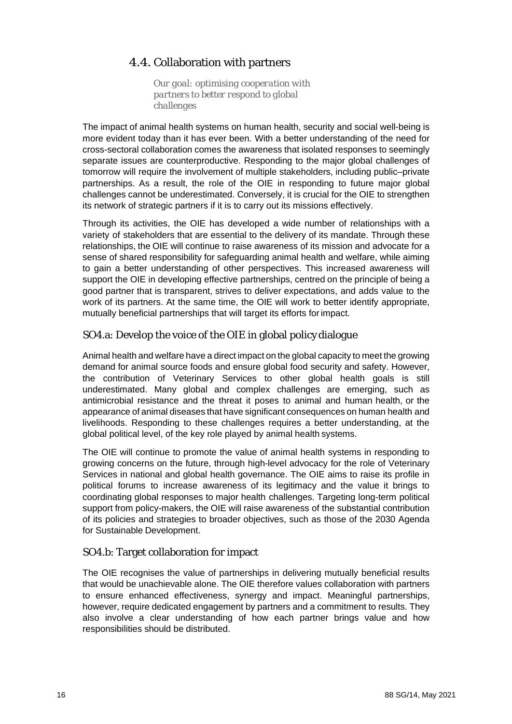# 4.4. Collaboration with partners

*Our goal: optimising cooperation with partners to better respond to global challenges*

<span id="page-15-0"></span>The impact of animal health systems on human health, security and social well-being is more evident today than it has ever been. With a better understanding of the need for cross-sectoral collaboration comes the awareness that isolated responses to seemingly separate issues are counterproductive. Responding to the major global challenges of tomorrow will require the involvement of multiple stakeholders, including public–private partnerships. As a result, the role of the OIE in responding to future major global challenges cannot be underestimated. Conversely, it is crucial for the OIE to strengthen its network of strategic partners if it is to carry out its missions effectively.

Through its activities, the OIE has developed a wide number of relationships with a variety of stakeholders that are essential to the delivery of its mandate. Through these relationships, the OIE will continue to raise awareness of its mission and advocate for a sense of shared responsibility for safeguarding animal health and welfare, while aiming to gain a better understanding of other perspectives. This increased awareness will support the OIE in developing effective partnerships, centred on the principle of being a good partner that is transparent, strives to deliver expectations, and adds value to the work of its partners. At the same time, the OIE will work to better identify appropriate, mutually beneficial partnerships that will target its efforts forimpact.

## SO4.a: Develop the voice of the OIE in global policy dialogue

Animal health and welfare have a direct impact on the global capacity to meet the growing demand for animal source foods and ensure global food security and safety. However, the contribution of Veterinary Services to other global health goals is still underestimated. Many global and complex challenges are emerging, such as antimicrobial resistance and the threat it poses to animal and human health, or the appearance of animal diseases that have significant consequences on human health and livelihoods. Responding to these challenges requires a better understanding, at the global political level, of the key role played by animal health systems.

The OIE will continue to promote the value of animal health systems in responding to growing concerns on the future, through high-level advocacy for the role of Veterinary Services in national and global health governance. The OIE aims to raise its profile in political forums to increase awareness of its legitimacy and the value it brings to coordinating global responses to major health challenges. Targeting long-term political support from policy-makers, the OIE will raise awareness of the substantial contribution of its policies and strategies to broader objectives, such as those of the 2030 Agenda for Sustainable Development.

#### SO4.b: Target collaboration for impact

The OIE recognises the value of partnerships in delivering mutually beneficial results that would be unachievable alone. The OIE therefore values collaboration with partners to ensure enhanced effectiveness, synergy and impact. Meaningful partnerships, however, require dedicated engagement by partners and a commitment to results. They also involve a clear understanding of how each partner brings value and how responsibilities should be distributed.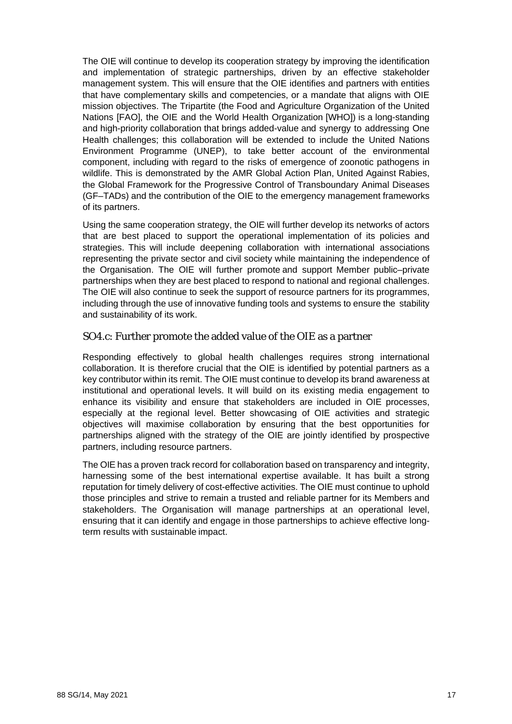The OIE will continue to develop its cooperation strategy by improving the identification and implementation of strategic partnerships, driven by an effective stakeholder management system. This will ensure that the OIE identifies and partners with entities that have complementary skills and competencies, or a mandate that aligns with OIE mission objectives. The Tripartite (the Food and Agriculture Organization of the United Nations [FAO], the OIE and the World Health Organization [WHO]) is a long-standing and high-priority collaboration that brings added-value and synergy to addressing One Health challenges; this collaboration will be extended to include the United Nations Environment Programme (UNEP), to take better account of the environmental component, including with regard to the risks of emergence of zoonotic pathogens in wildlife. This is demonstrated by the AMR Global Action Plan, United Against Rabies, the Global Framework for the Progressive Control of Transboundary Animal Diseases (GF–TADs) and the contribution of the OIE to the emergency management frameworks of its partners.

Using the same cooperation strategy, the OIE will further develop its networks of actors that are best placed to support the operational implementation of its policies and strategies. This will include deepening collaboration with international associations representing the private sector and civil society while maintaining the independence of the Organisation. The OIE will further promote and support Member public–private partnerships when they are best placed to respond to national and regional challenges. The OIE will also continue to seek the support of resource partners for its programmes, including through the use of innovative funding tools and systems to ensure the stability and sustainability of its work.

#### SO4.c: Further promote the added value of the OIE as a partner

Responding effectively to global health challenges requires strong international collaboration. It is therefore crucial that the OIE is identified by potential partners as a key contributor within its remit. The OIE must continue to develop its brand awareness at institutional and operational levels. It will build on its existing media engagement to enhance its visibility and ensure that stakeholders are included in OIE processes, especially at the regional level. Better showcasing of OIE activities and strategic objectives will maximise collaboration by ensuring that the best opportunities for partnerships aligned with the strategy of the OIE are jointly identified by prospective partners, including resource partners.

The OIE has a proven track record for collaboration based on transparency and integrity, harnessing some of the best international expertise available. It has built a strong reputation for timely delivery of cost-effective activities. The OIE must continue to uphold those principles and strive to remain a trusted and reliable partner for its Members and stakeholders. The Organisation will manage partnerships at an operational level, ensuring that it can identify and engage in those partnerships to achieve effective longterm results with sustainable impact.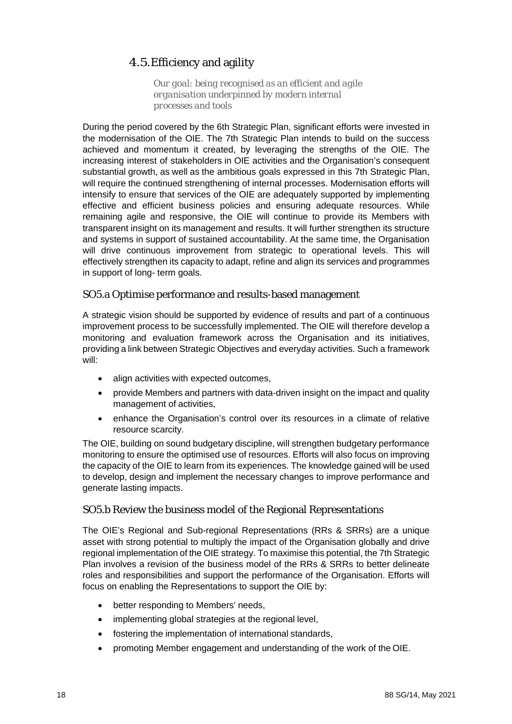# 4.5.Efficiency and agility

*Our goal: being recognised as an efficient and agile organisation underpinned by modern internal processes and tools*

<span id="page-17-0"></span>During the period covered by the 6th Strategic Plan, significant efforts were invested in the modernisation of the OIE. The 7th Strategic Plan intends to build on the success achieved and momentum it created, by leveraging the strengths of the OIE. The increasing interest of stakeholders in OIE activities and the Organisation's consequent substantial growth, as well as the ambitious goals expressed in this 7th Strategic Plan, will require the continued strengthening of internal processes. Modernisation efforts will intensify to ensure that services of the OIE are adequately supported by implementing effective and efficient business policies and ensuring adequate resources. While remaining agile and responsive, the OIE will continue to provide its Members with transparent insight on its management and results. It will further strengthen its structure and systems in support of sustained accountability. At the same time, the Organisation will drive continuous improvement from strategic to operational levels. This will effectively strengthen its capacity to adapt, refine and align its services and programmes in support of long- term goals.

#### SO5.a Optimise performance and results-based management

A strategic vision should be supported by evidence of results and part of a continuous improvement process to be successfully implemented. The OIE will therefore develop a monitoring and evaluation framework across the Organisation and its initiatives, providing a link between Strategic Objectives and everyday activities. Such a framework will:

- align activities with expected outcomes,
- provide Members and partners with data-driven insight on the impact and quality management of activities,
- enhance the Organisation's control over its resources in a climate of relative resource scarcity.

The OIE, building on sound budgetary discipline, will strengthen budgetary performance monitoring to ensure the optimised use of resources. Efforts will also focus on improving the capacity of the OIE to learn from its experiences. The knowledge gained will be used to develop, design and implement the necessary changes to improve performance and generate lasting impacts.

#### SO5.b Review the business model of the Regional Representations

The OIE's Regional and Sub-regional Representations (RRs & SRRs) are a unique asset with strong potential to multiply the impact of the Organisation globally and drive regional implementation of the OIE strategy. To maximise this potential, the 7th Strategic Plan involves a revision of the business model of the RRs & SRRs to better delineate roles and responsibilities and support the performance of the Organisation. Efforts will focus on enabling the Representations to support the OIE by:

- better responding to Members' needs,
- implementing global strategies at the regional level,
- fostering the implementation of international standards,
- promoting Member engagement and understanding of the work of the OIE.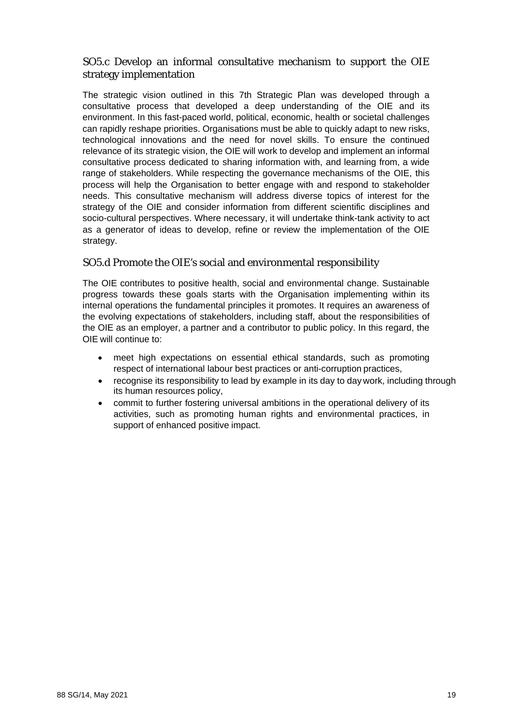## SO5.c Develop an informal consultative mechanism to support the OIE strategy implementation

The strategic vision outlined in this 7th Strategic Plan was developed through a consultative process that developed a deep understanding of the OIE and its environment. In this fast-paced world, political, economic, health or societal challenges can rapidly reshape priorities. Organisations must be able to quickly adapt to new risks, technological innovations and the need for novel skills. To ensure the continued relevance of its strategic vision, the OIE will work to develop and implement an informal consultative process dedicated to sharing information with, and learning from, a wide range of stakeholders. While respecting the governance mechanisms of the OIE, this process will help the Organisation to better engage with and respond to stakeholder needs. This consultative mechanism will address diverse topics of interest for the strategy of the OIE and consider information from different scientific disciplines and socio-cultural perspectives. Where necessary, it will undertake think-tank activity to act as a generator of ideas to develop, refine or review the implementation of the OIE strategy.

#### SO5.d Promote the OIE's social and environmental responsibility

The OIE contributes to positive health, social and environmental change. Sustainable progress towards these goals starts with the Organisation implementing within its internal operations the fundamental principles it promotes. It requires an awareness of the evolving expectations of stakeholders, including staff, about the responsibilities of the OIE as an employer, a partner and a contributor to public policy. In this regard, the OIE will continue to:

- meet high expectations on essential ethical standards, such as promoting respect of international labour best practices or anti-corruption practices,
- recognise its responsibility to lead by example in its day to day work, including through its human resources policy,
- commit to further fostering universal ambitions in the operational delivery of its activities, such as promoting human rights and environmental practices, in support of enhanced positive impact.